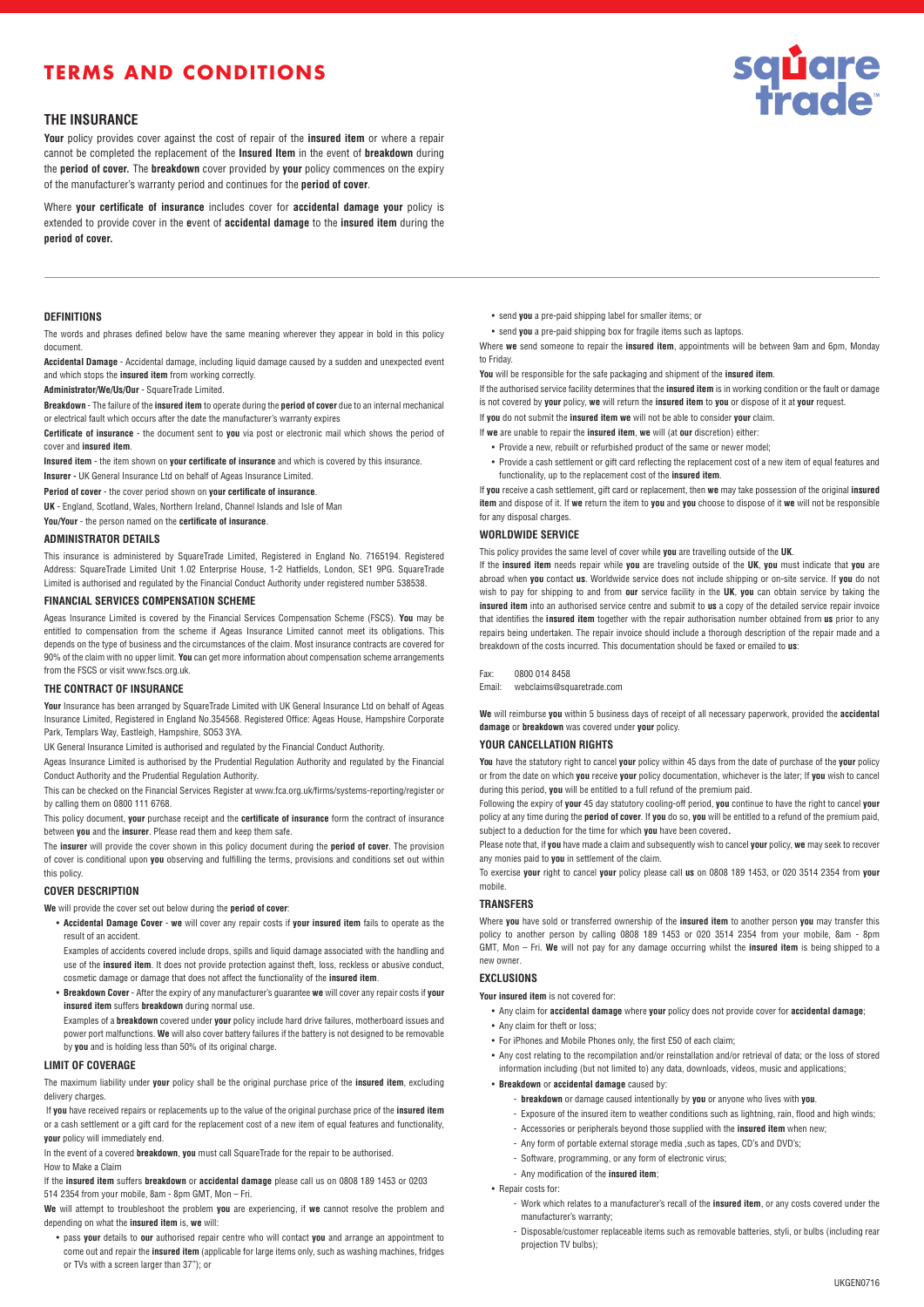# **TERMS AND CONDITIONS**



# **THE INSURANCE**

**Your** policy provides cover against the cost of repair of the **insured item** or where a repair cannot be completed the replacement of the **Insured Item** in the event of **breakdown** during the **period of cover.** The **breakdown** cover provided by **your** policy commences on the expiry of the manufacturer's warranty period and continues for the **period of cover**.

Where **your certificate of insurance** includes cover for **accidental damage your** policy is extended to provide cover in the **e**vent of **accidental damage** to the **insured item** during the **period of cover.**

## **DEFINITIONS**

The words and phrases defined below have the same meaning wherever they appear in bold in this policy document.

**Accidental Damage** - Accidental damage, including liquid damage caused by a sudden and unexpected event and which stops the **insured item** from working correctly.

**Administrator/We/Us/Our** - SquareTrade Limited.

**Breakdown** - The failure of the **insured item** to operate during the **period of cover** due to an internal mechanical or electrical fault which occurs after the date the manufacturer's warranty expires

**Certificate of insurance** - the document sent to **you** via post or electronic mail which shows the period of cover and **insured item**.

**Insured item** - the item shown on **your certificate of insurance** and which is covered by this insurance. **Insurer -** UK General Insurance Ltd on behalf of Ageas Insurance Limited.

**Period of cover** - the cover period shown on **your certificate of insurance**.

**UK** - England, Scotland, Wales, Northern Ireland, Channel Islands and Isle of Man

**You/Your** - the person named on the **certificate of insurance**.

#### **ADMINISTRATOR DETAILS**

This insurance is administered by SquareTrade Limited, Registered in England No. 7165194. Registered Address: SquareTrade Limited Unit 1.02 Enterprise House, 1-2 Hatfields, London, SE1 9PG. SquareTrade Limited is authorised and regulated by the Financial Conduct Authority under registered number 538538.

# **FINANCIAL SERVICES COMPENSATION SCHEME**

Ageas Insurance Limited is covered by the Financial Services Compensation Scheme (FSCS). **You** may be entitled to compensation from the scheme if Ageas Insurance Limited cannot meet its obligations. This depends on the type of business and the circumstances of the claim. Most insurance contracts are covered for 90% of the claim with no upper limit. **You** can get more information about compensation scheme arrangements from the FSCS or visit www.fscs.org.uk.

### **THE CONTRACT OF INSURANCE**

**Your** Insurance has been arranged by SquareTrade Limited with UK General Insurance Ltd on behalf of Ageas Insurance Limited, Registered in England No.354568. Registered Office: Ageas House, Hampshire Corporate Park, Templars Way, Eastleigh, Hampshire, SO53 3YA.

UK General Insurance Limited is authorised and regulated by the Financial Conduct Authority.

Ageas Insurance Limited is authorised by the Prudential Regulation Authority and regulated by the Financial Conduct Authority and the Prudential Regulation Authority.

This can be checked on the Financial Services Register at www.fca.org.uk/firms/systems-reporting/register or by calling them on 0800 111 6768.

This policy document, **your** purchase receipt and the **certificate of insurance** form the contract of insurance between **you** and the **insurer**. Please read them and keep them safe.

The **insurer** will provide the cover shown in this policy document during the **period of cover**. The provision of cover is conditional upon **you** observing and fulfilling the terms, provisions and conditions set out within this policy.

# **COVER DESCRIPTION**

**We** will provide the cover set out below during the **period of cover**:

• **Accidental Damage Cover** - **we** will cover any repair costs if **your insured item** fails to operate as the result of an accident.

Examples of accidents covered include drops, spills and liquid damage associated with the handling and use of the **insured item**. It does not provide protection against theft, loss, reckless or abusive conduct, cosmetic damage or damage that does not affect the functionality of the **insured item**.

• **Breakdown Cover** - After the expiry of any manufacturer's guarantee **we** will cover any repair costs if **your insured item** suffers **breakdown** during normal use.

Examples of a **breakdown** covered under **your** policy include hard drive failures, motherboard issues and power port malfunctions. **We** will also cover battery failures if the battery is not designed to be removable by **you** and is holding less than 50% of its original charge.

# **LIMIT OF COVERAGE**

The maximum liability under **your** policy shall be the original purchase price of the **insured item**, excluding delivery charges.

If **you** have received repairs or replacements up to the value of the original purchase price of the **insured item** or a cash settlement or a gift card for the replacement cost of a new item of equal features and functionality, **your** policy will immediately end.

In the event of a covered **breakdown**, **you** must call SquareTrade for the repair to be authorised.

How to Make a Claim

If the **insured item** suffers **breakdown** or **accidental damage** please call us on 0808 189 1453 or 0203 514 2354 from your mobile, 8am - 8pm GMT, Mon – Fri.

**We** will attempt to troubleshoot the problem **you** are experiencing, if **we** cannot resolve the problem and depending on what the **insured item** is, **we** will:

• pass **your** details to **our** authorised repair centre who will contact **you** and arrange an appointment to come out and repair the **insured item** (applicable for large items only, such as washing machines, fridges or TVs with a screen larger than 37"); or

• send **you** a pre-paid shipping label for smaller items; or

• send **you** a pre-paid shipping box for fragile items such as laptops.

Where **we** send someone to repair the **insured item**, appointments will be between 9am and 6pm, Monday to Friday.

**You** will be responsible for the safe packaging and shipment of the **insured item**.

If the authorised service facility determines that the **insured item** is in working condition or the fault or damage is not covered by **your** policy, **we** will return the **insured item** to **you** or dispose of it at **your** request.

If **you** do not submit the **insured item we** will not be able to consider **your** claim.

- If **we** are unable to repair the **insured item**, **we** will (at **our** discretion) either: • Provide a new, rebuilt or refurbished product of the same or newer model;
	- Provide a cash settlement or gift card reflecting the replacement cost of a new item of equal features and functionality, up to the replacement cost of the **insured item**.

If **you** receive a cash settlement, gift card or replacement, then **we** may take possession of the original **insured item** and dispose of it. If **we** return the item to **you** and **you** choose to dispose of it **we** will not be responsible for any disposal charges.

#### **WORLDWIDE SERVICE**

This policy provides the same level of cover while **you** are travelling outside of the **UK**.

If the **insured item** needs repair while **you** are traveling outside of the **UK**, **you** must indicate that **you** are abroad when **you** contact **us**. Worldwide service does not include shipping or on-site service. If **you** do not wish to pay for shipping to and from **our** service facility in the **UK**, **you** can obtain service by taking the **insured item** into an authorised service centre and submit to **us** a copy of the detailed service repair invoice that identifies the **insured item** together with the repair authorisation number obtained from **us** prior to any repairs being undertaken. The repair invoice should include a thorough description of the repair made and a breakdown of the costs incurred. This documentation should be faxed or emailed to **us**:

#### Fax: 0800 014 8458

Email: webclaims@squaretrade.com

**We** will reimburse **you** within 5 business days of receipt of all necessary paperwork, provided the **accidental damage** or **breakdown** was covered under **your** policy.

#### **YOUR CANCELLATION RIGHTS**

**You** have the statutory right to cancel **your** policy within 45 days from the date of purchase of the **your** policy or from the date on which **you** receive **your** policy documentation, whichever is the later; If **you** wish to cancel during this period, **you** will be entitled to a full refund of the premium paid.

Following the expiry of **your** 45 day statutory cooling-off period, **you** continue to have the right to cancel **your**  policy at any time during the **period of cover**. If **you** do so, **you** will be entitled to a refund of the premium paid, subject to a deduction for the time for which **you** have been covered**.**

Please note that, if **you** have made a claim and subsequently wish to cancel **your** policy, **we** may seek to recover any monies paid to **you** in settlement of the claim.

To exercise **your** right to cancel **your** policy please call **us** on 0808 189 1453, or 020 3514 2354 from **your** mobile.

## **TRANSFERS**

Where **you** have sold or transferred ownership of the **insured item** to another person **you** may transfer this policy to another person by calling 0808 189 1453 or 020 3514 2354 from your mobile, 8am - 8pm GMT, Mon – Fri. **We** will not pay for any damage occurring whilst the **insured item** is being shipped to a new owner.

# **EXCLUSIONS**

**Your insured item** is not covered for:

- Any claim for **accidental damage** where **your** policy does not provide cover for **accidental damage**;
- Any claim for theft or loss;
- For iPhones and Mobile Phones only, the first £50 of each claim;
- Any cost relating to the recompilation and/or reinstallation and/or retrieval of data; or the loss of stored information including (but not limited to) any data, downloads, videos, music and applications;
- **Breakdown** or **accidental damage** caused by:
	- **breakdown** or damage caused intentionally by **you** or anyone who lives with **you**.
	- Exposure of the insured item to weather conditions such as lightning, rain, flood and high winds;
	- Accessories or peripherals beyond those supplied with the **insured item** when new;
	- Any form of portable external storage media ,such as tapes, CD's and DVD's;
	- Software, programming, or any form of electronic virus;
	- Any modification of the **insured item**;

• Repair costs for:

- Work which relates to a manufacturer's recall of the **insured item**, or any costs covered under the manufacturer's warranty;
- Disposable/customer replaceable items such as removable batteries, styli, or bulbs (including rear projection TV bulbs);